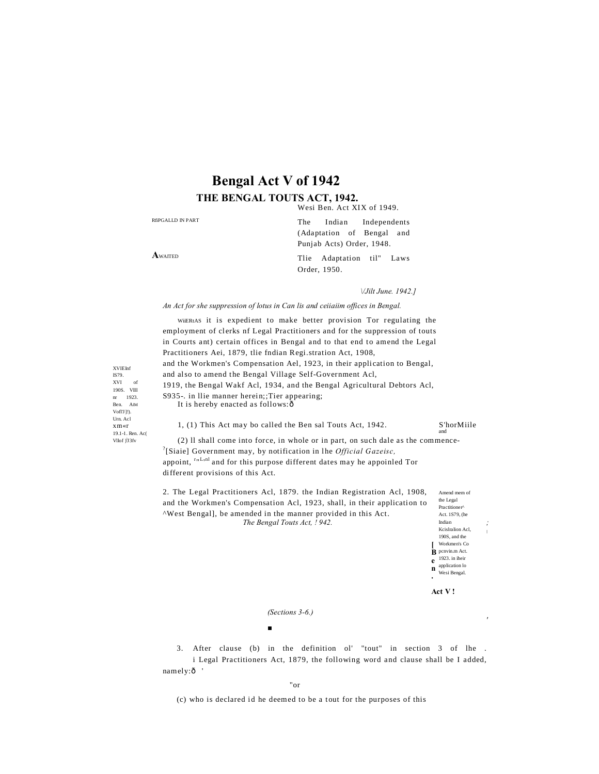# **Bengal Act V of 1942** THE BENGAL TOUTS ACT, 1942.

Wesi Ben. Act XIX of 1949.

RÉPGALLD IN PART The Indian Independents (Adaptation of Bengal and Punjab Acts) Order, 1948. AWAITED Tlie Adaptation til" Laws Order, 1950.

VJilt June. 1942.]

An Act for she suppression of lotus in Can lis and ceitaiim offices in Bengal.

WHERtAS it is expedient to make better provision Tor regulating the employment of clerks nf Legal Practitioners and for the suppression of touts in Courts ant) certain offices in Bengal and to that end to amend the Legal Practitioners Aei, 1879, tlie fndian Regi.stration Act, 1908, and the Workmen's Compensation Ael, 1923, in their application to Bengal, and also to amend the Bengal Village Self-Government Acl, 1919, the Bengal Wakf Acl, 1934, and the Bengal Agricultural Debtors Acl, S935-. in Ilie manner herein;;Tier appearing; It is hereby enacted as follows: ô

1, (1) This Act may bo called the Ben sal Touts Act, 1942.

S'horMiile

(2) Il shall come into force, in whole or in part, on such dale as the commence-<sup>2</sup>[Siaie] Government may, by notification in lhe *Official Gazeisc*, appoint, *rnLnl* and for this purpose different dates may he appoinled Tor different provisions of this Act.

2. The Legal Practitioners Acl, 1879. the Indian Registration Acl, 1908, Amend mem of and the Workmen's Compensation Acl, 1923, shall, in their application to "West Bengal], be amended in the manner provided in this Act. The Bengal Touts Act, 1942.

the Legal Practitioner^ Act. 1S79. (he Indian Keislralion Acl, 190S, and the Workmen's Co  $\mathbf{\dot{B}}$  penvin.m Act.  $1923.$  in their  $\mathbf{e}$  $\sum_{\text{Wesi Bengal.}}^{\text{application lo}}$ 

Act V!

(Sections 3-6.)

 $\blacksquare$ 

3. After clause (b) in the definition ol' "tout" in section 3 of lhe. i Legal Practitioners Act, 1879, the following word and clause shall be I added, namely:ô

"or

(c) who is declared id he deemed to be a tout for the purposes of this

**XVIEInf** IS79.  $XVI$ 190S. VIII  $nr = 1923.$ Ben. AIM VofFJ19. Urn, Acl  $x \, m \ll r$ 19.1-1. Ren. Ac(  $Vllof$ ) $J3fv$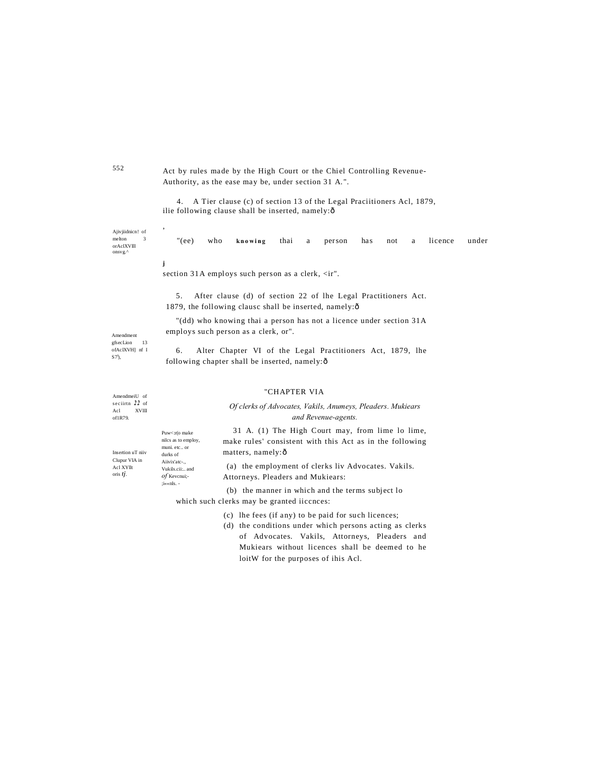Act by rules made by the High Court or the Chiel Controlling Revenue-Authority, as the ease may be, under section 31 A.".

4. A Tier clause (c) of section 13 of the Legal Praciitioners Acl, 1879, ilie following clause shall be inserted, namely:ô

Ajivjiidnicn! of  $\rm{melton}$  $\overline{\mathbf{3}}$ or<br>AclXVIII<br/>  $_{\rm onsvg.}\!$ 

Amendment  $g$ fsecLion

AmendmeiU of seciirth  $22$  of

XVIII

Puw<: r(o make nilcs as to employ

muni. etc., or

Aiivix'atc-.,

Vukils.cii... and

 $of$  Kevcnui:-

 $i$  s  $\le$ nls. -

durks of

 $S7<sup>1</sup>$ ),

Acl of1R79.

 $\overline{13}$ ofAcIXVH] nf I " $(ee)$ who thai has licence under knowing a person  $not$  $\overline{a}$ 

 $\mathbf{i}$ 

section 31A employs such person as a clerk, <ir".

5. After clause (d) of section 22 of lhe Legal Practitioners Act. 1879, the following clausc shall be inserted, namely:ô

"(dd) who knowing thai a person has not a licence under section 31A employs such person as a clerk, or".

6. Alter Chapter VI of the Legal Practitioners Act, 1879, lhe following chapter shall be inserted, namely: ô

# "CHAPTER VIA

# Of clerks of Advocates, Vakils, Anumeys, Pleaders. Mukiears and Revenue-agents.

Insertion uT niiv Clupur VIA in Acl XYllt oris tj.

31 A. (1) The High Court may, from lime lo lime, make rules' consistent with this Act as in the following matters, namely:ô

(a) the employment of clerks liv Advocates. Vakils. Attorneys. Pleaders and Mukiears:

(b) the manner in which and the terms subject lo which such clerks may be granted iiccnces:

- (c) lhe fees (if any) to be paid for such licences;
- (d) the conditions under which persons acting as clerks of Advocates. Vakils, Attorneys, Pleaders and Mukiears without licences shall be deemed to he loitW for the purposes of ihis Acl.

552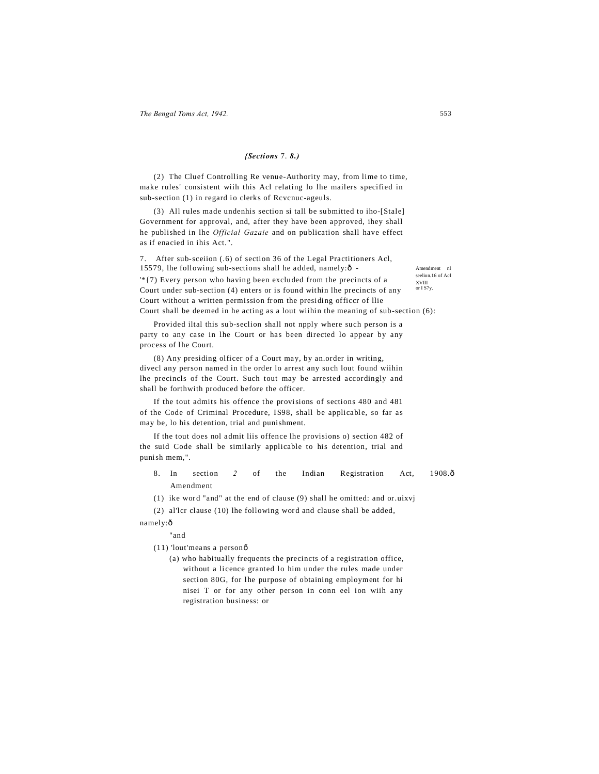### *{Sections* 7. *8.)*

(2) The Cluef Controlling Re venue-Authority may, from lime to time, make rules' consistent wiih this Acl relating lo lhe mailers specified in sub-section (1) in regard io clerks of Rcvcnuc-ageuls.

(3) All rules made undenhis section si tall be submitted to iho-[Stale] Government for approval, and, after they have been approved, ihey shall he published in lhe *Official Gazaie* and on publication shall have effect as if enacied in ihis Act.".

7. After sub-sceiion (.6) of section 36 of the Legal Practitioners Acl, 15579, lhe following sub-sections shall he added, namely: $\delta$ 

XVIII or I S7y. '\*{7) Every person who having been excluded from the precincts of a Court under sub-section (4) enters or is found within lhe precincts of any Court without a written permission from the presiding officcr of llie Court shall be deemed in he acting as a lout wiihin the meaning of sub-section (6):

Provided iltal this sub-seclion shall not npply where such person is a party to any case in lhe Court or has been directed lo appear by any process of lhe Court.

(8) Any presiding olficer of a Court may, by an.order in writing, divecl any person named in the order lo arrest any such lout found wiihin lhe precincls of the Court. Such tout may be arrested accordingly and shall be forthwith produced before the officer.

If the tout admits his offence the provisions of sections 480 and 481 of the Code of Criminal Procedure, IS98, shall be applicable, so far as may be, lo his detention, trial and punishment.

If the tout does nol admit liis offence lhe provisions o) section 482 of the suid Code shall be similarly applicable to his detention, trial and punish mem,".

8. In section 2 of the Indian Registration Act, 1908.ô Amendment

(1) ike word "and" at the end of clause (9) shall he omitted: and or.uixvj

(2) al'lcr clause (10) lhe following word and clause shall be added,

namely:ô

"and

- (11) 'lout'means a personô
	- (a) who habitually frequents the precincts of a registration office, without a licence granted lo him under the rules made under section 80G, for lhe purpose of obtaining employment for hi nisei T or for any other person in conn eel ion wiih any registration business: or

Amendment nl seelion.16 of Acl

553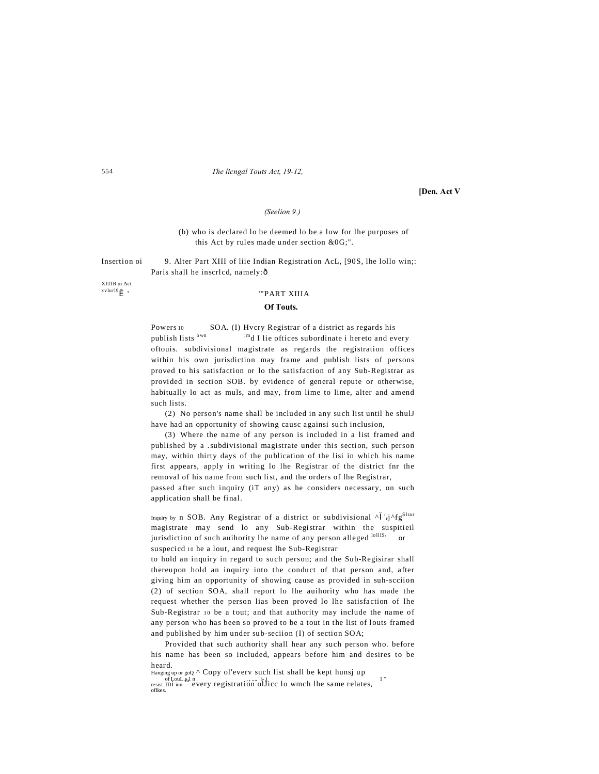554 *The licngal Touts Act, 19-12,*

**[Den. Act V**

### *(Seelion 9.)*

(b) who is declared lo be deemed lo be a low for lhe purposes of this Act by rules made under section &0G;".

Insertion oi 9. Alter Part XIII of liie Indian Registration AcL, [90S, lhe lollo win;: Paris shall he inscrlcd, namely: ô

X1I1R in Act

# $x$ vlurl9 $\hat{I}$  ' $"PART XIIIA$

### **Of Touts.**

Powers 10 SOA. (I) Hvcry Registrar of a district as regards his publish lists  $^{\text{own}}$   $^{\text{im}}$ d I lie oftices subordinate i hereto and every oftouis. subdivisional magistrate as regards the registration offices within his own jurisdiction may frame and publish lists of persons proved to his satisfaction or lo the satisfaction of any Sub-Registrar as provided in section SOB. by evidence of general repute or otherwise, habitually lo act as muls, and may, from lime to lime, alter and amend such lists.

(2) No person's name shall be included in any such list until he shulJ have had an opportunity of showing causc againsi such inclusion,

(3) Where the name of any person is included in a list framed and published by a .subdivisional magistrate under this section, such person may, within thirty days of the publication of the lisi in which his name first appears, apply in writing lo lhe Registrar of the district fnr the removal of his name from such list, and the orders of lhe Registrar,

passed after such inquiry (iT any) as he considers necessary, on such application shall be final.

Inquiry by n SOB. Any Registrar of a district or subdivisional  $\wedge$  'rj $\wedge fg^{\text{Star}}$ magistrate may send lo any Sub-Registrar within the suspitieil jurisdiction of such auihority lhe name of any person alleged  $\frac{1611S_1}{S}$  or suspecicd 10 he a lout, and request lhe Sub-Registrar

to hold an inquiry in regard to such person; and the Sub-Regisirar shall thereupon hold an inquiry into the conduct of that person and, after giving him an opportunity of showing cause as provided in suh-scciion (2) of section SOA, shall report lo lhe auihority who has made the request whether the person lias been proved lo lhe satisfaction of lhe Sub-Registrar 10 be a tout; and that authority may include the name of any person who has been so proved to be a tout in the list of louts framed and published by him under sub-seciion (I) of section SOA;

Provided that such authority shall hear any such person who. before his name has been so included, appears before him and desires to be heard.

Hanging up or goQ ^ Copy ol'everv such list shall be kept hunsj up

of LouLs, I n.<br>resist mi inn every registration olJicc lo wmch lhe same relates,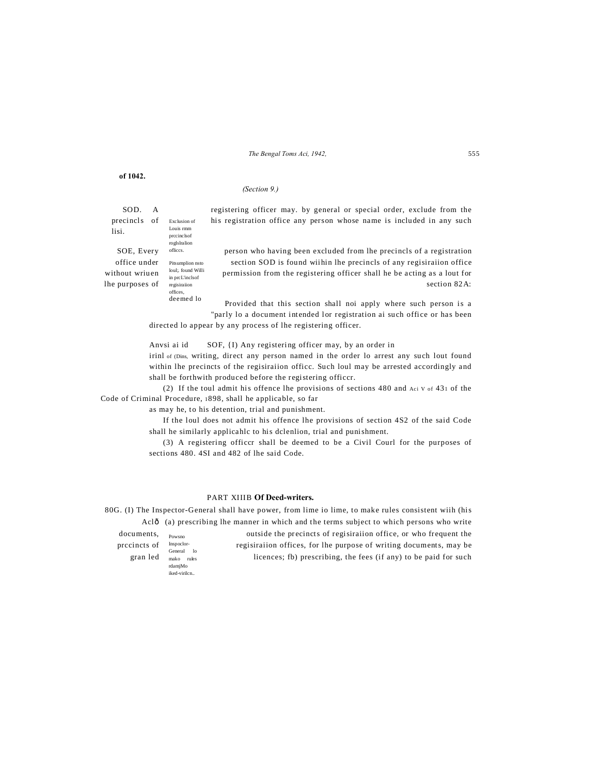*The Bengal Toms Aci, 1942,* 555

| of 1042.                                                        |   |                                                                                                  |                                                                                                                                                                                                                                          |
|-----------------------------------------------------------------|---|--------------------------------------------------------------------------------------------------|------------------------------------------------------------------------------------------------------------------------------------------------------------------------------------------------------------------------------------------|
|                                                                 |   |                                                                                                  | (Section 9.)                                                                                                                                                                                                                             |
| SOD.<br>precincls of<br>lisi.                                   | A | Exclusion of<br>Louis rmm<br>precincls of<br>roglslralion                                        | registering officer may, by general or special order, exclude from the<br>his registration office any person whose name is included in any such                                                                                          |
| SOE, Every<br>office under<br>without wriuen<br>lhe purposes of |   | offices.<br>Pitsumplion nsto<br>loul: found Willi<br>in prcL'inclsof<br>regisiration<br>offices. | person who having been excluded from the precincts of a registration<br>section SOD is found within the precincls of any registration office<br>permission from the registering officer shall he be acting as a lout for<br>section 82A: |
|                                                                 |   | deemed lo                                                                                        | Provided that this section shall not apply where such person is a<br>"parly lo a document intended lor registration ai such office or has been<br>directed lo appear by any process of lhe registering officer.                          |
| Anvsi ai id                                                     |   |                                                                                                  | SOF, {I} Any registering officer may, by an order in                                                                                                                                                                                     |

irinl of (Dins, writing, direct any person named in the order lo arrest any such lout found within lhe precincts of the regisiraiion officc. Such loul may be arrested accordingly and shall be forthwith produced before the registering officcr.

(2) If the toul admit his offence lhe provisions of sections 480 and Aci V of 431 of the Code of Criminal Procedure, 1898, shall he applicable, so far

as may he, to his detention, trial and punishment.

If the loul does not admit his offence lhe provisions of section 4S2 of the said Code shall he similarly applicahlc to his dclenlion, trial and punishment.

(3) A registering officcr shall be deemed to be a Civil Courl for the purposes of sections 480. 4SI and 482 of lhe said Code.

# PART XIIIB **Of Deed-writers.**

Powsno Inspoclor-General lo mako rules rdamjMo iked-virilcn.. 80G. (I) The Inspector-General shall have power, from lime io lime, to make rules consistent wiih (his Aclô (a) prescribing lhe manner in which and the terms subject to which persons who write documents,  $_{\text{Doweno}}$  outside the precincts of regisiration office, or who frequent the prccincts of Inspecior-<br>regisiration offices, for lhe purpose of writing documents, may be gran led  $\frac{1}{\text{max}}$  licences; fb) prescribing, the fees (if any) to be paid for such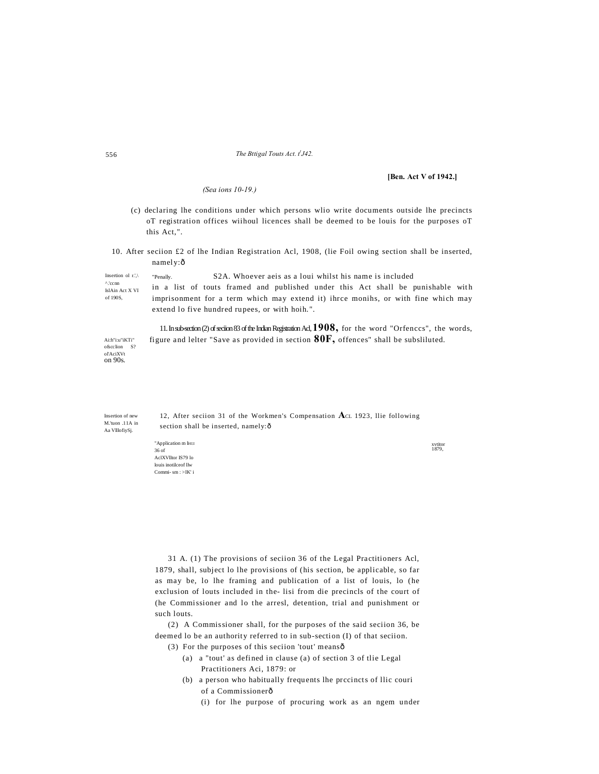#### The Bttigal Touts Act. t<sup>1</sup>J42.

### [Ben. Act V of 1942.]

(Sea ions 10-19.)

- (c) declaring lhe conditions under which persons wlio write documents outside lhe precincts oT registration offices wiihoul licences shall be deemed to be louis for the purposes oT this Act,".
- 10. After section £2 of lhe Indian Registration Acl, 1908, (lie Foil owing section shall be inserted, namely:ô

| Insertion of $r$ .                     | "Penally.                                      |  |  |  | S <sub>2</sub> A. Whoever aeis as a loui whilst his name is included |  |  |                                                                                   |  |  |  |  |  |  |  |  |
|----------------------------------------|------------------------------------------------|--|--|--|----------------------------------------------------------------------|--|--|-----------------------------------------------------------------------------------|--|--|--|--|--|--|--|--|
| <sup>A</sup> .'ccnn<br>IslAin Act X VI |                                                |  |  |  |                                                                      |  |  | in a list of touts framed and published under this Act shall be punishable with   |  |  |  |  |  |  |  |  |
| of 190S.                               |                                                |  |  |  |                                                                      |  |  | imprisonment for a term which may extend it) ihrce monihs, or with fine which may |  |  |  |  |  |  |  |  |
|                                        | extend to five hundred rupees, or with hoih.". |  |  |  |                                                                      |  |  |                                                                                   |  |  |  |  |  |  |  |  |
|                                        |                                                |  |  |  |                                                                      |  |  |                                                                                   |  |  |  |  |  |  |  |  |

11. In sub-section (2) of section 83 of the Indian Registration Ad, 1908, for the word "Orfences", the words,

figure and lelter "Save as provided in section  $80F$ , offences" shall be subsliluted. Ai:h"i:u"iKTi" ofseclion S?<br>ol'AciXVt on 90s.

Insertion of new M.'tuon .11A in Aa VlllofiySj.

12, After section 31 of the Workmen's Compensation Act 1923, Ilie following section shall be inserted, namely: ô

"Application m IHI:I  $36 of$ AclXVlltor IS79 lo louis inotilceof llw  $Commi-sm : >IK'$ i

xvtitor<br>1879,

31 A. (1) The provisions of seciion 36 of the Legal Practitioners Acl, 1879, shall, subject lo lhe provisions of (his section, be applicable, so far as may be, lo lhe framing and publication of a list of louis, lo (he exclusion of louts included in the- lisi from die precincls of the court of (he Commissioner and lo the arresl, detention, trial and punishment or such louts.

(2) A Commissioner shall, for the purposes of the said seciion 36, be deemed lo be an authority referred to in sub-section (I) of that seciion.

- (3) For the purposes of this seciion 'tout' meansô
	- (a) a "tout' as defined in clause (a) of section 3 of the Legal Practitioners Aci, 1879: or
	- (b) a person who habitually frequents lhe precincts of llic couri of a Commissionerô
		- (i) for lhe purpose of procuring work as an ngem under

556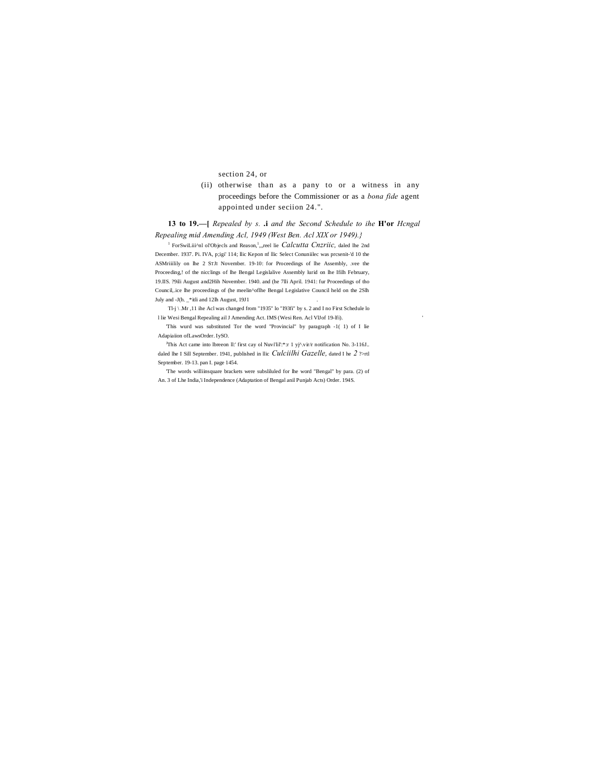section 24, or

(ii) otherwise than as a pany to or a witness in any proceedings before the Commissioner or as a *bona fide* agent appointed under seciion 24.".

13 to 19.-- [ Repealed by s. .i and the Second Schedule to ihe H'or Hcngal

Repealing mid Amending Acl, 1949 (West Ben. Acl XIX or 1949).} <sup>1</sup> ForSwiLiii<sup>A</sup>nl ol'Objecls and Reason,<sup>1</sup>,,,reel lie Calcutta Cnzriic, daled lhe 2nd December. 1937. Pi. IVA, p;igi' 114; llic Kepon nf Ilic Select Conuniilec was presenit-'d 10 the ASMriiilily on lhe 2 STJI November. 19-10: for Proceedings of lhe Assembly, .vee the Proceeding,! of the nicclings of lhe Bengal Legislalive Assembly lurid on lhe Ifilh February, 19.IIS. 29ili August and 2Hih November. 1940. and (he 7lli April. 1941: fur Proceedings of tho Council, ice lhe proceedings of (he meelin^oflhe Bengal Legislative Council held on the 2Slh July and -J(h. \_\*itli and 12lh August, 19J1

Tl-j \ Mr ,11 ihe Acl was changed from "1935" lo "I93fi" by s. 2 and I no First Schedule lo 1 lie Wesi Bengal Repealing ail J Amending Act. IMS (Wesi Ren. Acl VIJof 19-Ifi).

This wurd was substituted Tor the word "Provincial" by paragraph -1(1) of I lie Adapiaiion ofLawsOrder. IySO.

<sup>3</sup>This Act came into Ibreeon II:' first cay of Nuvi'lil':\*:r 1 yj^.vir/r notification No. 3-116J.. daled lhe I Sill September. 1941, published in Ilic Culciilhi Gazelle, dated I he 2 ?>rtl September. 19-13. pan I. page 1454.

The words williinsquare brackets were subsliluled for lhe word "Bengal" by para. (2) of An. 3 of Lhe India, i Independence (Adaptation of Bengal anil Punjab Acts) Order. 194S.